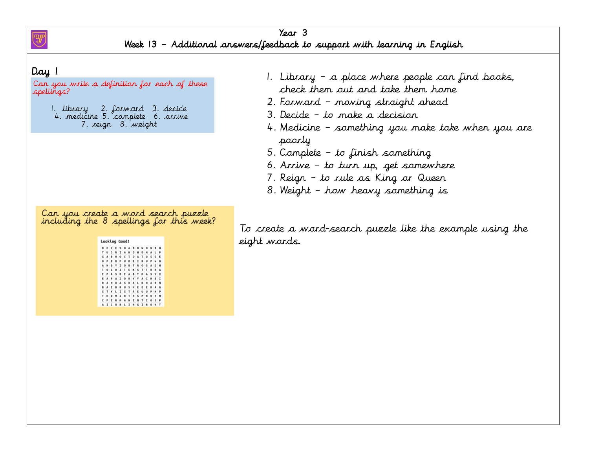#### $Day_1$

Can you write a definition for each of these spellings?

> 1. library 2. forward 3. decide 4. medicine 5. complete 6. arrive 7. reign 8. weight

Can you create a mord search puzzle including the 8 spellings for this week?

|   |   |   | ٠       | ٠ |         | ٨            | n |   |   |   | M       |   | н |
|---|---|---|---------|---|---------|--------------|---|---|---|---|---------|---|---|
| D | к | ٧ |         |   | н       |              |   | ٥ |   |   |         |   |   |
| т | u | c | R       | I | A       | н            | ۰ | н | D | M | A       | ι | ø |
| G | A |   | M       | Ō | c       | т            | ٥ | А | т | Ō | s       | ٥ | E |
| ۰ | P | E | R       | F | U       | $\mathbb{N}$ | E | I | 良 | U | Þ       | м | o |
| A | N | s | γ       | I | ٥       | B            | т | R | ٥ | s | A       | D | и |
| т | ۰ | s | $\circ$ | I | т       | E            | ĸ | s | т | т | ₽       | ٠ | A |
| Е | P | A | s       | D | E       | ٨            | B | т | M | ۸ | s       | ٧ | x |
| E | A | R | А       | z | $\circ$ | 変            | γ | γ | А | c | H       | E | I |
| R | А |   | u       | A | s       | ۰            | А | ι | ĸ | н | А       | 変 | N |
| ٠ | A | ı | n       | 良 | U       | s            | н | E | п | ٠ | M       | ۸ | Ĝ |
| s | T | ٧ | ι       | 1 | s       | ٦            | R | E | u | U | Þ       | N | ø |
| т | н | Ð | M       | I | 良       | т            | N | s | ₽ | N | ٥       | ٧ | M |
| c | ₽ | Ε | R       | M | A       | N            | E | N | т | I | ٥       | s | P |
| A | 1 | c | U       | R | L       | I            | N | G | I | 臮 | $\circ$ | N | т |

- 1. Library a place where people can find books, check them out and take them home
- 2. Forward moving straight ahead
- 3. Decide to make a decision
- 4. Medicine something you make take when you are poorly
- 5. Complete to finish something
- 6. Arrive to turn up, get somewhere
- 7. Reign to rule as King or Queen
- 8. Weight how heavy something is

To create a word-search puzzle like the example using the eight words.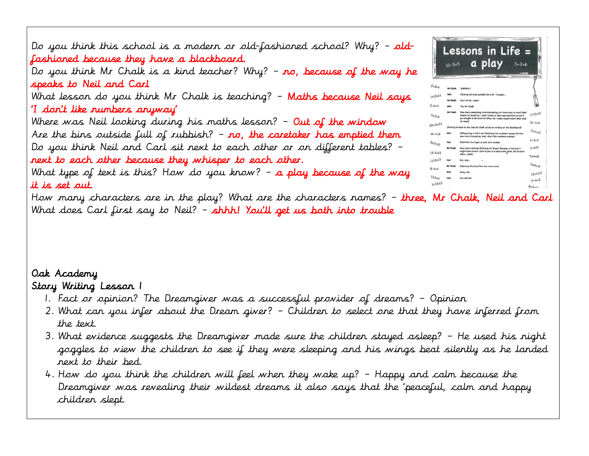| Do you think this school is a modern or old-fashioned school? Why? - old-<br>fashioned because they have a blackboard.<br>Do you think Mr Chalk is a kind teacher? Why? - no, because of the way he |               | Lessons in Life $=$<br>$10-5=5$ a play<br>$3 + 3 = 6$                                                                             |                        |
|-----------------------------------------------------------------------------------------------------------------------------------------------------------------------------------------------------|---------------|-----------------------------------------------------------------------------------------------------------------------------------|------------------------|
| speaks to Neil and Carl                                                                                                                                                                             |               |                                                                                                                                   |                        |
| What lesson do you think Mr Chalk is teaching? - Maths because Neil says                                                                                                                            |               | Turning his head quickly] Sorn                                                                                                    |                        |
| 'I don't like numbers anyway'                                                                                                                                                                       |               |                                                                                                                                   |                        |
|                                                                                                                                                                                                     |               |                                                                                                                                   | $1+12=13$              |
| Where was Neil looking during his maths lesson? - Out of the window                                                                                                                                 | $20+3=23$     |                                                                                                                                   | $10 - 4 = 6$           |
| Are the bins outside full of rubbish? - no, the caretaker has emptied them                                                                                                                          |               | Thispering in Carl's earl Watching the caretaker empty the bins<br>more interesting. And I don't like numbers an                  | $3x4 = 12$             |
| Do you think Neil and Carl sit next to each other or on different tables? -                                                                                                                         |               |                                                                                                                                   | $4+5=9$<br>$3 - 3 = 0$ |
|                                                                                                                                                                                                     | $18 - 5 = 13$ | Now who's talking? (Pointing his finger) Dempsy, is that you? I<br>ght have known. Each of you is as bad as the other. Mr Grimm's | $5+6=11$               |
| next to each other because they whisper to each other.                                                                                                                                              |               | lutbut                                                                                                                            | $2x6 = 12$             |
| What type of text is this? How do you know? - $\alpha$ play because of the way                                                                                                                      |               | [Opening the door] Not one more word                                                                                              | $12+1=13$              |
|                                                                                                                                                                                                     |               |                                                                                                                                   | $6 - 4 = 2$            |
| it is set out.                                                                                                                                                                                      | 12m13         |                                                                                                                                   | $8+5-12$               |
| How many characters are in the play? What are the characters names? - <b>three, Mr Chalk, Neil and Carl</b>                                                                                         |               |                                                                                                                                   |                        |
| What does Carl first say to Neil? - shhh! You'll get us both into trouble                                                                                                                           |               |                                                                                                                                   |                        |

#### ming his head quickly] Sorry Sir. I th on't think. Listen Was there something more interesting out there than in here? [Neil<br>shakes his head] No, I didn't think so. Now pay attention or you'll<br>go straight to Mr Grimm's office. Do I make myself clear? [Neil nods<br>his head]  $1+12=13$  $10 - 4 = 6$ s back to the class Mr Chalk carries on writin  $\sqrt[3]{4a_2}$ ering in Carl's ear] Watching the caretaker empty the bins uss more interesting. And I don't like  $4 + 5 = 9$ hhhhh! You'll get us both into trouble  $3 - 3 = 0$ w who's talking? (Pointing his finger) Dempsy, is that you? I ght have known. Each of you is as bad as the other. Mr Grimm'  $5 + 6 - 11$  $2x6 = 12$ (Opening the door) Not one more word Sorry, Carl.  $12+1=13$ You will be  $6 - 4 = 2$

Oak Academy

# Story Writing Lesson 1

- 1. Fact or opinion? The Dreamgiver was a successful provider of dreams? Opinion
- 2. What can you infer about the Dream giver? Children to select one that they have inferred from the text.
- 3. What evidence suggests the Dreamgiver made sure the children stayed asleep? He used his night goggles to view the children to see if they were sleeping and his wings beat silently as he landed next to their bed.
- 4. How do you think the children will feel when they wake up? Happy and calm because the Dreamgiver was revealing their wildest dreams it also says that the 'peaceful, calm and happy children slept.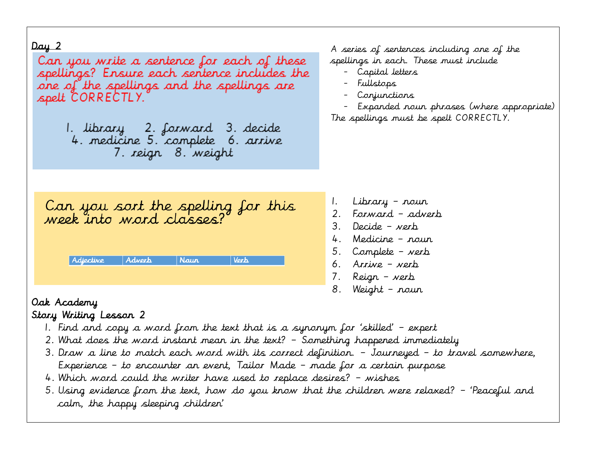## Day 2

Can you write a sentence for each of these spellings? Ensure each sentence includes the one of the spellings and the spellings are spelt CORRECTLY.

> 1. library - 2. forward - 3. decide<br>- 4. medicine 5. complete - 6. arrive 7. reign 8. weight

A series of sentences including one of the spellings in each. These must include

- Capital letters
- Fullstops
- Conjunctions
- Expanded noun phrases (where appropriate) The spellings must be spelt CORRECTLY.

Can you sort the spelling for this<br>week into word classes? **Verb Adverb** *Nour* Adjective

- 1. Library noun
- 2. Forward adverb
- 3. Decide verb
- 4. Medicine noun
- 5. Complete verb
- 6. Arrive verb
- 7. Reign verb
- 8. Weight noun

# Oak Academy

## Story Writing Lesson 2

- 1. Find and copy a word from the text that is a synonym for 'skilled' expert
- 2. What does the word instant mean in the text? Something happened immediately
- 3. Draw a line to match each word with its correct definition. Journeyed to travel somewhere, Experience – to encounter an event, Tailor Made – made for a certain purpose
- 4. Which word could the writer have used to replace desires? wishes
- 5. Using evidence from the text, how do you know that the children were relaxed? 'Peaceful and calm, the happy sleeping children'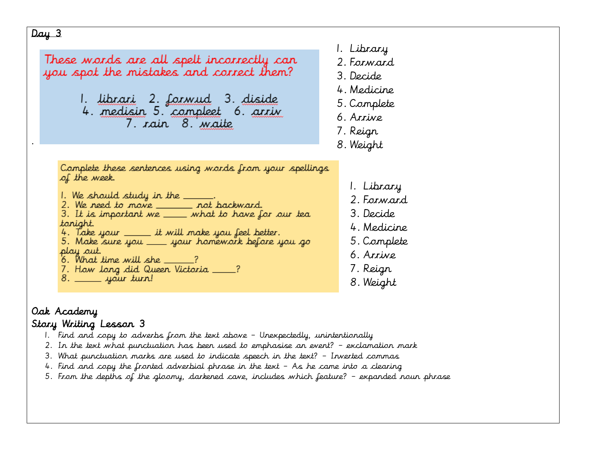#### Day 3



## Oak Academy Story Writing Lesson 3

- 1. Find and copy to adverbs from the text above Unexpectedly, unintentionally
- 2. In the text what punctuation has been used to emphasise an event? exclamation mark
- 3. What punctuation marks are used to indicate speech in the text? Inverted commas
- 4. Find and copy the fronted adverbial phrase in the text As he came into a clearing
- 5. From the depths of the gloomy, darkened cave, includes which feature? expanded noun phrase
- 1. Library
- 2. Forward
- 3. Decide
- 4. Medicine
- 5. Complete
- 6. Arrive
- 7. Reign
- 8. Weight
	- 1. Library
	- 2. Forward
	- 3. Decide
	- 4. Medicine
	- 5. Complete
	- 6. Arrive
	- 7. Reign
	- 8. Weight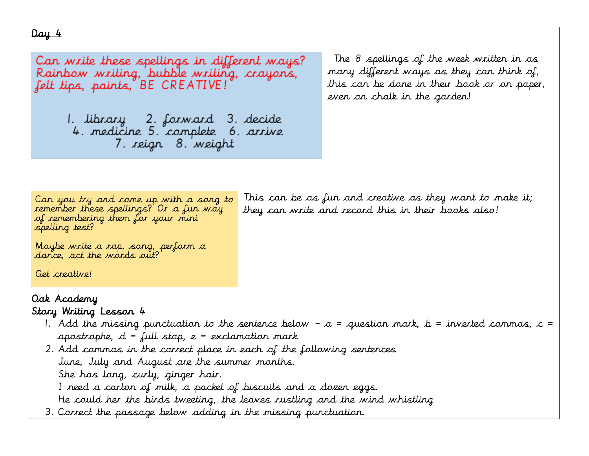#### $Day 4$

Can write these spellings in different ways? Rainbow writing, bubble writing, crayons, felt tips, paints, BE CREATIVE!

> 1. library - 2. forward - 3. decide 4. medicine 5. complete 6. arrive 7. reign 8. weight

The 8 spellings of the week written in as many different ways as they can think of, this can be done in their book or on paper, even on chalk in the garden!

Can you try and come up with a song to remember these spellings? Or a fun way of remembering them for your mini spelling test?

This can be as fun and creative as they want to make it; they can write and record this in their books also!

Maybe write a rap, song, perform a<br>dance, act the words out?

Get creative!

# Oak Academy

## Story Writing Lesson 4

- 1. Add the missing punctuation to the sentence below  $a$  = question mark,  $b$  = inverted commas,  $c$  = apostrophe,  $d = \int \mathcal{L} \mu \, d\mu$  stop,  $e = \ell \times \mathcal{L}$  and mark
- 2. Add commas in the correct place in each of the following sentences June, July and August are the summer months. She has long, curly, ginger hair. I need a carton of milk, a packet of biscuits and a dozen eggs. He could her the birds tweeting, the leaves rustling and the wind whistling
- 3. Correct the passage below adding in the missing punctuation.